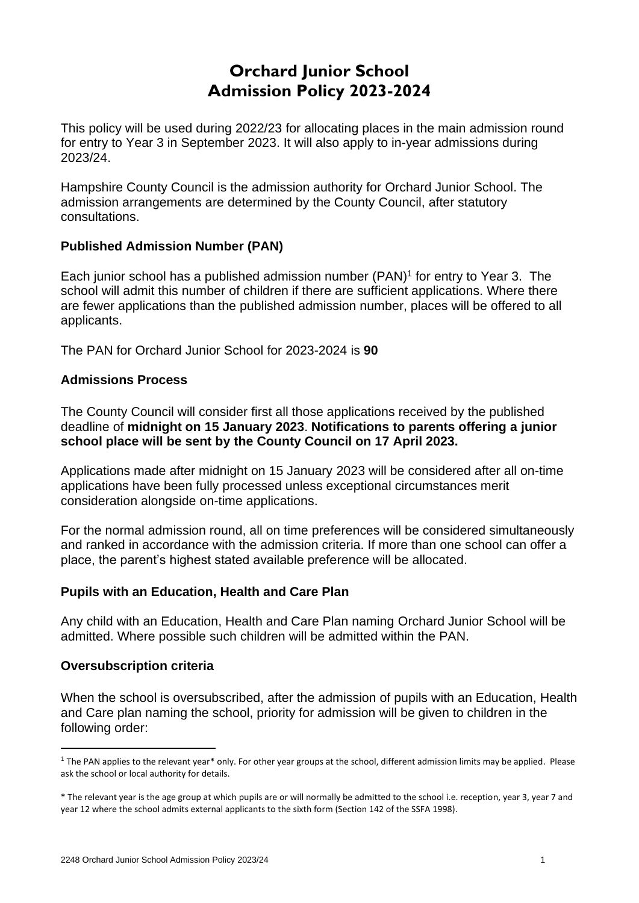# **Orchard Iunior School Admission Policy 2023-2024**

This policy will be used during 2022/23 for allocating places in the main admission round for entry to Year 3 in September 2023. It will also apply to in-year admissions during 2023/24.

Hampshire County Council is the admission authority for Orchard Junior School. The admission arrangements are determined by the County Council, after statutory consultations.

# **Published Admission Number (PAN)**

Each junior school has a published admission number (PAN) 1 for entry to Year 3. The school will admit this number of children if there are sufficient applications. Where there are fewer applications than the published admission number, places will be offered to all applicants.

The PAN for Orchard Junior School for 2023-2024 is **90**

### **Admissions Process**

The County Council will consider first all those applications received by the published deadline of **midnight on 15 January 2023**. **Notifications to parents offering a junior school place will be sent by the County Council on 17 April 2023.**

Applications made after midnight on 15 January 2023 will be considered after all on-time applications have been fully processed unless exceptional circumstances merit consideration alongside on-time applications.

For the normal admission round, all on time preferences will be considered simultaneously and ranked in accordance with the admission criteria. If more than one school can offer a place, the parent's highest stated available preference will be allocated.

# **Pupils with an Education, Health and Care Plan**

Any child with an Education, Health and Care Plan naming Orchard Junior School will be admitted. Where possible such children will be admitted within the PAN.

#### **Oversubscription criteria**

When the school is oversubscribed, after the admission of pupils with an Education, Health and Care plan naming the school, priority for admission will be given to children in the following order:

 $1$  The PAN applies to the relevant year\* only. For other year groups at the school, different admission limits may be applied. Please ask the school or local authority for details.

<sup>\*</sup> The relevant year is the age group at which pupils are or will normally be admitted to the school i.e. reception, year 3, year 7 and year 12 where the school admits external applicants to the sixth form (Section 142 of the SSFA 1998).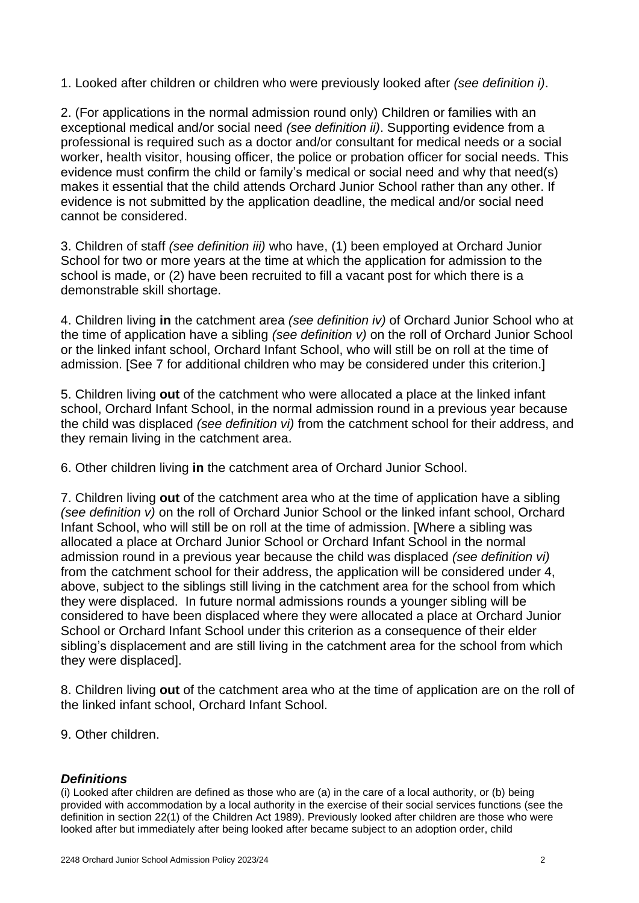1. Looked after children or children who were previously looked after *(see definition i)*.

2. (For applications in the normal admission round only) Children or families with an exceptional medical and/or social need *(see definition ii)*. Supporting evidence from a professional is required such as a doctor and/or consultant for medical needs or a social worker, health visitor, housing officer, the police or probation officer for social needs. This evidence must confirm the child or family's medical or social need and why that need(s) makes it essential that the child attends Orchard Junior School rather than any other. If evidence is not submitted by the application deadline, the medical and/or social need cannot be considered.

3. Children of staff *(see definition iii)* who have, (1) been employed at Orchard Junior School for two or more years at the time at which the application for admission to the school is made, or (2) have been recruited to fill a vacant post for which there is a demonstrable skill shortage.

4. Children living **in** the catchment area *(see definition iv)* of Orchard Junior School who at the time of application have a sibling *(see definition v)* on the roll of Orchard Junior School or the linked infant school, Orchard Infant School, who will still be on roll at the time of admission. [See 7 for additional children who may be considered under this criterion.]

5. Children living **out** of the catchment who were allocated a place at the linked infant school, Orchard Infant School, in the normal admission round in a previous year because the child was displaced *(see definition vi)* from the catchment school for their address, and they remain living in the catchment area.

6. Other children living **in** the catchment area of Orchard Junior School.

7. Children living **out** of the catchment area who at the time of application have a sibling *(see definition v)* on the roll of Orchard Junior School or the linked infant school, Orchard Infant School, who will still be on roll at the time of admission. [Where a sibling was allocated a place at Orchard Junior School or Orchard Infant School in the normal admission round in a previous year because the child was displaced *(see definition vi)*  from the catchment school for their address, the application will be considered under 4, above, subject to the siblings still living in the catchment area for the school from which they were displaced. In future normal admissions rounds a younger sibling will be considered to have been displaced where they were allocated a place at Orchard Junior School or Orchard Infant School under this criterion as a consequence of their elder sibling's displacement and are still living in the catchment area for the school from which they were displaced].

8. Children living **out** of the catchment area who at the time of application are on the roll of the linked infant school, Orchard Infant School.

9. Other children.

#### *Definitions*

(i) Looked after children are defined as those who are (a) in the care of a local authority, or (b) being provided with accommodation by a local authority in the exercise of their social services functions (see the definition in section 22(1) of the Children Act 1989). Previously looked after children are those who were looked after but immediately after being looked after became subject to an adoption order, child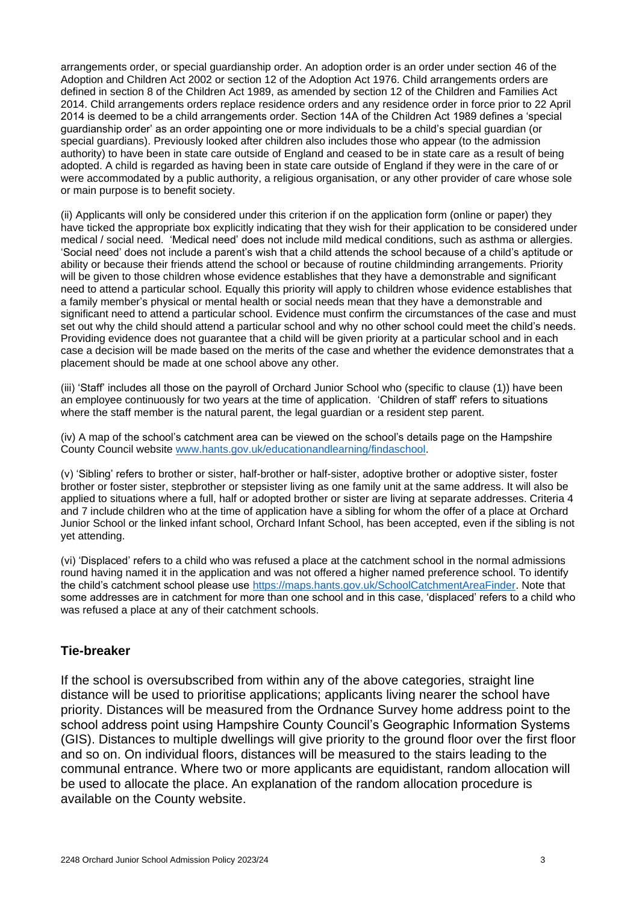arrangements order, or special guardianship order. An adoption order is an order under section 46 of the Adoption and Children Act 2002 or section 12 of the Adoption Act 1976. Child arrangements orders are defined in section 8 of the Children Act 1989, as amended by section 12 of the Children and Families Act 2014. Child arrangements orders replace residence orders and any residence order in force prior to 22 April 2014 is deemed to be a child arrangements order. Section 14A of the Children Act 1989 defines a 'special guardianship order' as an order appointing one or more individuals to be a child's special guardian (or special guardians). Previously looked after children also includes those who appear (to the admission authority) to have been in state care outside of England and ceased to be in state care as a result of being adopted. A child is regarded as having been in state care outside of England if they were in the care of or were accommodated by a public authority, a religious organisation, or any other provider of care whose sole or main purpose is to benefit society.

(ii) Applicants will only be considered under this criterion if on the application form (online or paper) they have ticked the appropriate box explicitly indicating that they wish for their application to be considered under medical / social need. 'Medical need' does not include mild medical conditions, such as asthma or allergies. 'Social need' does not include a parent's wish that a child attends the school because of a child's aptitude or ability or because their friends attend the school or because of routine childminding arrangements. Priority will be given to those children whose evidence establishes that they have a demonstrable and significant need to attend a particular school. Equally this priority will apply to children whose evidence establishes that a family member's physical or mental health or social needs mean that they have a demonstrable and significant need to attend a particular school. Evidence must confirm the circumstances of the case and must set out why the child should attend a particular school and why no other school could meet the child's needs. Providing evidence does not guarantee that a child will be given priority at a particular school and in each case a decision will be made based on the merits of the case and whether the evidence demonstrates that a placement should be made at one school above any other.

(iii) 'Staff' includes all those on the payroll of Orchard Junior School who (specific to clause (1)) have been an employee continuously for two years at the time of application. 'Children of staff' refers to situations where the staff member is the natural parent, the legal guardian or a resident step parent.

(iv) A map of the school's catchment area can be viewed on the school's details page on the Hampshire County Council website [www.hants.gov.uk/educationandlearning/findaschool.](http://www.hants.gov.uk/educationandlearning/findaschool)

(v) 'Sibling' refers to brother or sister, half-brother or half-sister, adoptive brother or adoptive sister, foster brother or foster sister, stepbrother or stepsister living as one family unit at the same address. It will also be applied to situations where a full, half or adopted brother or sister are living at separate addresses. Criteria 4 and 7 include children who at the time of application have a sibling for whom the offer of a place at Orchard Junior School or the linked infant school, Orchard Infant School, has been accepted, even if the sibling is not yet attending.

(vi) 'Displaced' refers to a child who was refused a place at the catchment school in the normal admissions round having named it in the application and was not offered a higher named preference school. To identify the child's catchment school please use [https://maps.hants.gov.uk/SchoolCatchmentAreaFinder.](https://maps.hants.gov.uk/SchoolCatchmentAreaFinder/) Note that some addresses are in catchment for more than one school and in this case, 'displaced' refers to a child who was refused a place at any of their catchment schools.

#### **Tie-breaker**

If the school is oversubscribed from within any of the above categories, straight line distance will be used to prioritise applications; applicants living nearer the school have priority. Distances will be measured from the Ordnance Survey home address point to the school address point using Hampshire County Council's Geographic Information Systems (GIS). Distances to multiple dwellings will give priority to the ground floor over the first floor and so on. On individual floors, distances will be measured to the stairs leading to the communal entrance. Where two or more applicants are equidistant, random allocation will be used to allocate the place. An explanation of the random allocation procedure is available on the County website.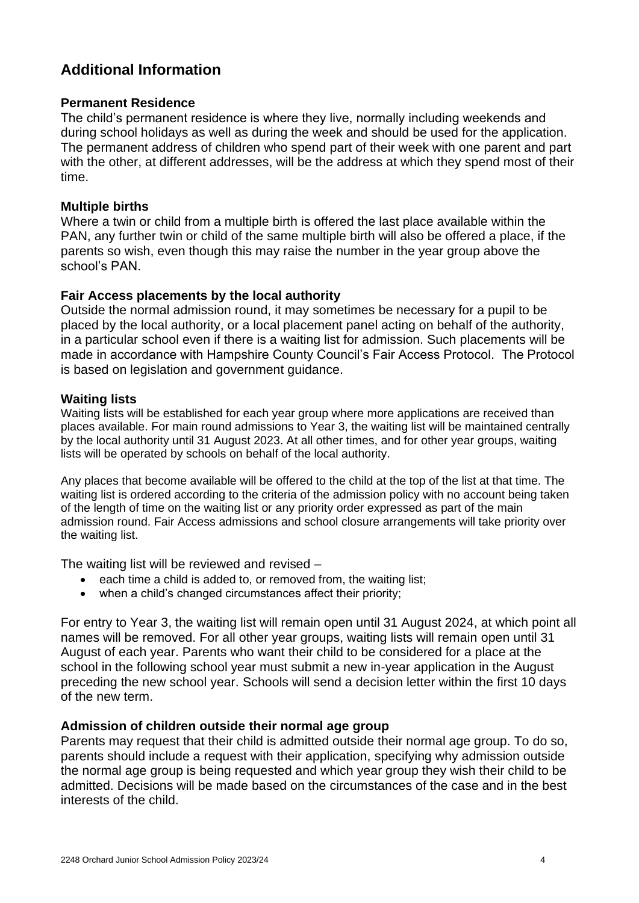# **Additional Information**

#### **Permanent Residence**

The child's permanent residence is where they live, normally including weekends and during school holidays as well as during the week and should be used for the application. The permanent address of children who spend part of their week with one parent and part with the other, at different addresses, will be the address at which they spend most of their time.

#### **Multiple births**

Where a twin or child from a multiple birth is offered the last place available within the PAN, any further twin or child of the same multiple birth will also be offered a place, if the parents so wish, even though this may raise the number in the year group above the school's PAN.

#### **Fair Access placements by the local authority**

Outside the normal admission round, it may sometimes be necessary for a pupil to be placed by the local authority, or a local placement panel acting on behalf of the authority, in a particular school even if there is a waiting list for admission. Such placements will be made in accordance with Hampshire County Council's Fair Access Protocol. The Protocol is based on legislation and government guidance.

#### **Waiting lists**

Waiting lists will be established for each year group where more applications are received than places available. For main round admissions to Year 3, the waiting list will be maintained centrally by the local authority until 31 August 2023. At all other times, and for other year groups, waiting lists will be operated by schools on behalf of the local authority.

Any places that become available will be offered to the child at the top of the list at that time. The waiting list is ordered according to the criteria of the admission policy with no account being taken of the length of time on the waiting list or any priority order expressed as part of the main admission round. Fair Access admissions and school closure arrangements will take priority over the waiting list.

The waiting list will be reviewed and revised –

- each time a child is added to, or removed from, the waiting list;
- when a child's changed circumstances affect their priority;

For entry to Year 3, the waiting list will remain open until 31 August 2024, at which point all names will be removed. For all other year groups, waiting lists will remain open until 31 August of each year. Parents who want their child to be considered for a place at the school in the following school year must submit a new in-year application in the August preceding the new school year. Schools will send a decision letter within the first 10 days of the new term.

#### **Admission of children outside their normal age group**

Parents may request that their child is admitted outside their normal age group. To do so, parents should include a request with their application, specifying why admission outside the normal age group is being requested and which year group they wish their child to be admitted. Decisions will be made based on the circumstances of the case and in the best interests of the child.